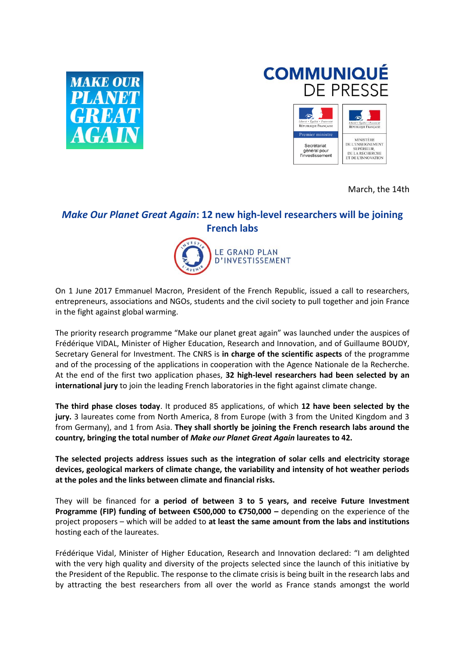

## **COMMUNIQUÉ** DE PRESSE



March, the 14th

## *Make Our Planet Great Again***: 12 new high-level researchers will be joining French labs**



On 1 June 2017 Emmanuel Macron, President of the French Republic, issued a call to researchers, entrepreneurs, associations and NGOs, students and the civil society to pull together and join France in the fight against global warming.

The priority research programme "Make our planet great again" was launched under the auspices of Frédérique VIDAL, Minister of Higher Education, Research and Innovation, and of Guillaume BOUDY, Secretary General for Investment. The CNRS is **in charge of the scientific aspects** of the programme and of the processing of the applications in cooperation with the Agence Nationale de la Recherche. At the end of the first two application phases, **32 high-level researchers had been selected by an international jury** to join the leading French laboratories in the fight against climate change.

**The third phase closes today**. It produced 85 applications, of which **12 have been selected by the jury.** 3 laureates come from North America, 8 from Europe (with 3 from the United Kingdom and 3 from Germany), and 1 from Asia. **They shall shortly be joining the French research labs around the country, bringing the total number of** *Make our Planet Great Again* **laureates to 42.** 

**The selected projects address issues such as the integration of solar cells and electricity storage devices, geological markers of climate change, the variability and intensity of hot weather periods at the poles and the links between climate and financial risks.**

They will be financed for **a period of between 3 to 5 years, and receive Future Investment Programme (FIP) funding of between €500,000 to €750,000 –** depending on the experience of the project proposers – which will be added to **at least the same amount from the labs and institutions** hosting each of the laureates.

Frédérique Vidal, Minister of Higher Education, Research and Innovation declared: "I am delighted with the very high quality and diversity of the projects selected since the launch of this initiative by the President of the Republic. The response to the climate crisis is being built in the research labs and by attracting the best researchers from all over the world as France stands amongst the world